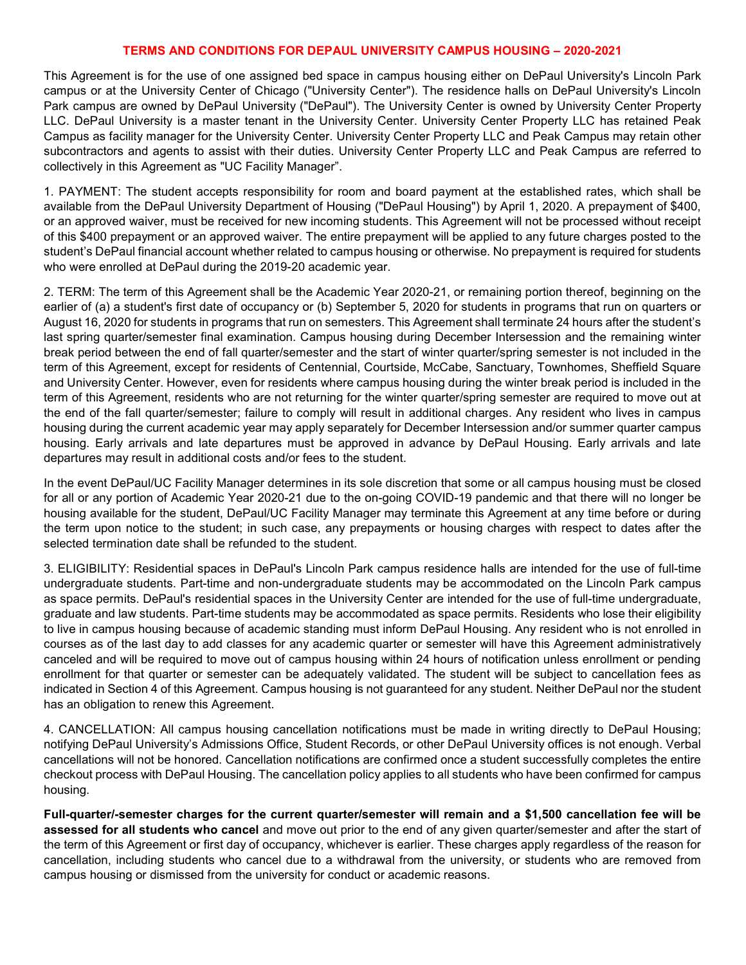### TERMS AND CONDITIONS FOR DEPAUL UNIVERSITY CAMPUS HOUSING – 2020-2021

This Agreement is for the use of one assigned bed space in campus housing either on DePaul University's Lincoln Park campus or at the University Center of Chicago ("University Center"). The residence halls on DePaul University's Lincoln Park campus are owned by DePaul University ("DePaul"). The University Center is owned by University Center Property LLC. DePaul University is a master tenant in the University Center. University Center Property LLC has retained Peak Campus as facility manager for the University Center. University Center Property LLC and Peak Campus may retain other subcontractors and agents to assist with their duties. University Center Property LLC and Peak Campus are referred to collectively in this Agreement as "UC Facility Manager".

1. PAYMENT: The student accepts responsibility for room and board payment at the established rates, which shall be available from the DePaul University Department of Housing ("DePaul Housing") by April 1, 2020. A prepayment of \$400, or an approved waiver, must be received for new incoming students. This Agreement will not be processed without receipt of this \$400 prepayment or an approved waiver. The entire prepayment will be applied to any future charges posted to the student's DePaul financial account whether related to campus housing or otherwise. No prepayment is required for students who were enrolled at DePaul during the 2019-20 academic year.

2. TERM: The term of this Agreement shall be the Academic Year 2020-21, or remaining portion thereof, beginning on the earlier of (a) a student's first date of occupancy or (b) September 5, 2020 for students in programs that run on quarters or August 16, 2020 for students in programs that run on semesters. This Agreement shall terminate 24 hours after the student's last spring quarter/semester final examination. Campus housing during December Intersession and the remaining winter break period between the end of fall quarter/semester and the start of winter quarter/spring semester is not included in the term of this Agreement, except for residents of Centennial, Courtside, McCabe, Sanctuary, Townhomes, Sheffield Square and University Center. However, even for residents where campus housing during the winter break period is included in the term of this Agreement, residents who are not returning for the winter quarter/spring semester are required to move out at the end of the fall quarter/semester; failure to comply will result in additional charges. Any resident who lives in campus housing during the current academic year may apply separately for December Intersession and/or summer quarter campus housing. Early arrivals and late departures must be approved in advance by DePaul Housing. Early arrivals and late departures may result in additional costs and/or fees to the student.

In the event DePaul/UC Facility Manager determines in its sole discretion that some or all campus housing must be closed for all or any portion of Academic Year 2020-21 due to the on-going COVID-19 pandemic and that there will no longer be housing available for the student, DePaul/UC Facility Manager may terminate this Agreement at any time before or during the term upon notice to the student; in such case, any prepayments or housing charges with respect to dates after the selected termination date shall be refunded to the student.

3. ELIGIBILITY: Residential spaces in DePaul's Lincoln Park campus residence halls are intended for the use of full-time undergraduate students. Part-time and non-undergraduate students may be accommodated on the Lincoln Park campus as space permits. DePaul's residential spaces in the University Center are intended for the use of full-time undergraduate, graduate and law students. Part-time students may be accommodated as space permits. Residents who lose their eligibility to live in campus housing because of academic standing must inform DePaul Housing. Any resident who is not enrolled in courses as of the last day to add classes for any academic quarter or semester will have this Agreement administratively canceled and will be required to move out of campus housing within 24 hours of notification unless enrollment or pending enrollment for that quarter or semester can be adequately validated. The student will be subject to cancellation fees as indicated in Section 4 of this Agreement. Campus housing is not guaranteed for any student. Neither DePaul nor the student has an obligation to renew this Agreement.

4. CANCELLATION: All campus housing cancellation notifications must be made in writing directly to DePaul Housing; notifying DePaul University's Admissions Office, Student Records, or other DePaul University offices is not enough. Verbal cancellations will not be honored. Cancellation notifications are confirmed once a student successfully completes the entire checkout process with DePaul Housing. The cancellation policy applies to all students who have been confirmed for campus housing.

Full-quarter/-semester charges for the current quarter/semester will remain and a \$1,500 cancellation fee will be assessed for all students who cancel and move out prior to the end of any given quarter/semester and after the start of the term of this Agreement or first day of occupancy, whichever is earlier. These charges apply regardless of the reason for cancellation, including students who cancel due to a withdrawal from the university, or students who are removed from campus housing or dismissed from the university for conduct or academic reasons.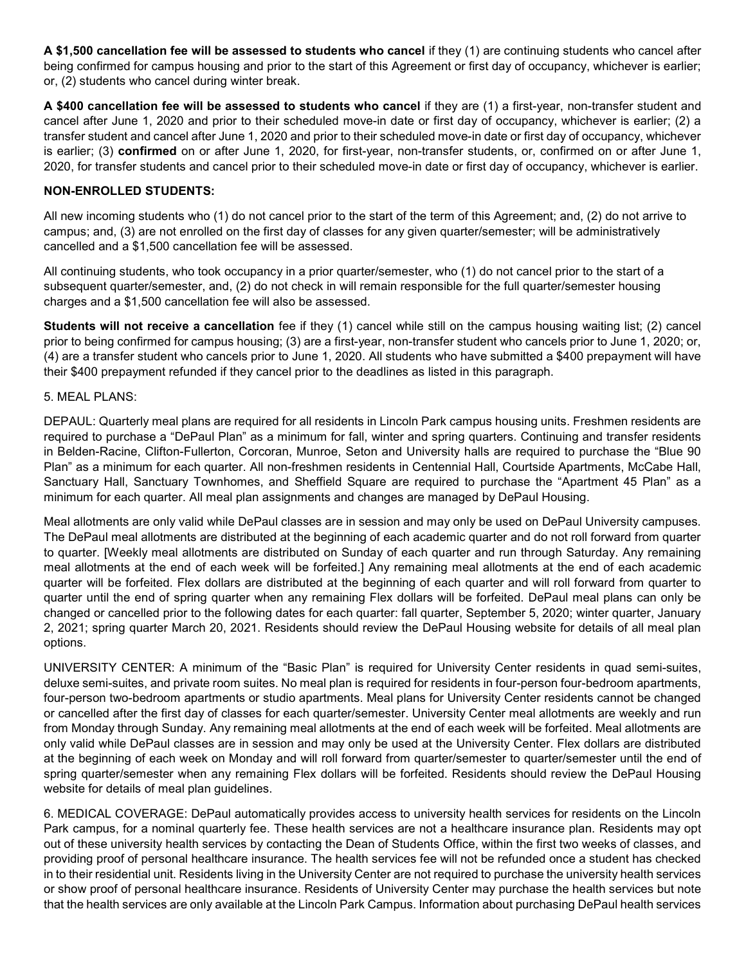A \$1,500 cancellation fee will be assessed to students who cancel if they (1) are continuing students who cancel after being confirmed for campus housing and prior to the start of this Agreement or first day of occupancy, whichever is earlier; or, (2) students who cancel during winter break.

A \$400 cancellation fee will be assessed to students who cancel if they are (1) a first-year, non-transfer student and cancel after June 1, 2020 and prior to their scheduled move-in date or first day of occupancy, whichever is earlier; (2) a transfer student and cancel after June 1, 2020 and prior to their scheduled move-in date or first day of occupancy, whichever is earlier; (3) confirmed on or after June 1, 2020, for first-year, non-transfer students, or, confirmed on or after June 1, 2020, for transfer students and cancel prior to their scheduled move-in date or first day of occupancy, whichever is earlier.

# NON-ENROLLED STUDENTS:

All new incoming students who (1) do not cancel prior to the start of the term of this Agreement; and, (2) do not arrive to campus; and, (3) are not enrolled on the first day of classes for any given quarter/semester; will be administratively cancelled and a \$1,500 cancellation fee will be assessed.

All continuing students, who took occupancy in a prior quarter/semester, who (1) do not cancel prior to the start of a subsequent quarter/semester, and, (2) do not check in will remain responsible for the full quarter/semester housing charges and a \$1,500 cancellation fee will also be assessed.

Students will not receive a cancellation fee if they (1) cancel while still on the campus housing waiting list; (2) cancel prior to being confirmed for campus housing; (3) are a first-year, non-transfer student who cancels prior to June 1, 2020; or, (4) are a transfer student who cancels prior to June 1, 2020. All students who have submitted a \$400 prepayment will have their \$400 prepayment refunded if they cancel prior to the deadlines as listed in this paragraph.

### 5. MEAL PLANS:

DEPAUL: Quarterly meal plans are required for all residents in Lincoln Park campus housing units. Freshmen residents are required to purchase a "DePaul Plan" as a minimum for fall, winter and spring quarters. Continuing and transfer residents in Belden-Racine, Clifton-Fullerton, Corcoran, Munroe, Seton and University halls are required to purchase the "Blue 90 Plan" as a minimum for each quarter. All non-freshmen residents in Centennial Hall, Courtside Apartments, McCabe Hall, Sanctuary Hall, Sanctuary Townhomes, and Sheffield Square are required to purchase the "Apartment 45 Plan" as a minimum for each quarter. All meal plan assignments and changes are managed by DePaul Housing.

Meal allotments are only valid while DePaul classes are in session and may only be used on DePaul University campuses. The DePaul meal allotments are distributed at the beginning of each academic quarter and do not roll forward from quarter to quarter. [Weekly meal allotments are distributed on Sunday of each quarter and run through Saturday. Any remaining meal allotments at the end of each week will be forfeited.] Any remaining meal allotments at the end of each academic quarter will be forfeited. Flex dollars are distributed at the beginning of each quarter and will roll forward from quarter to quarter until the end of spring quarter when any remaining Flex dollars will be forfeited. DePaul meal plans can only be changed or cancelled prior to the following dates for each quarter: fall quarter, September 5, 2020; winter quarter, January 2, 2021; spring quarter March 20, 2021. Residents should review the DePaul Housing website for details of all meal plan options.

UNIVERSITY CENTER: A minimum of the "Basic Plan" is required for University Center residents in quad semi-suites, deluxe semi-suites, and private room suites. No meal plan is required for residents in four-person four-bedroom apartments, four-person two-bedroom apartments or studio apartments. Meal plans for University Center residents cannot be changed or cancelled after the first day of classes for each quarter/semester. University Center meal allotments are weekly and run from Monday through Sunday. Any remaining meal allotments at the end of each week will be forfeited. Meal allotments are only valid while DePaul classes are in session and may only be used at the University Center. Flex dollars are distributed at the beginning of each week on Monday and will roll forward from quarter/semester to quarter/semester until the end of spring quarter/semester when any remaining Flex dollars will be forfeited. Residents should review the DePaul Housing website for details of meal plan guidelines.

6. MEDICAL COVERAGE: DePaul automatically provides access to university health services for residents on the Lincoln Park campus, for a nominal quarterly fee. These health services are not a healthcare insurance plan. Residents may opt out of these university health services by contacting the Dean of Students Office, within the first two weeks of classes, and providing proof of personal healthcare insurance. The health services fee will not be refunded once a student has checked in to their residential unit. Residents living in the University Center are not required to purchase the university health services or show proof of personal healthcare insurance. Residents of University Center may purchase the health services but note that the health services are only available at the Lincoln Park Campus. Information about purchasing DePaul health services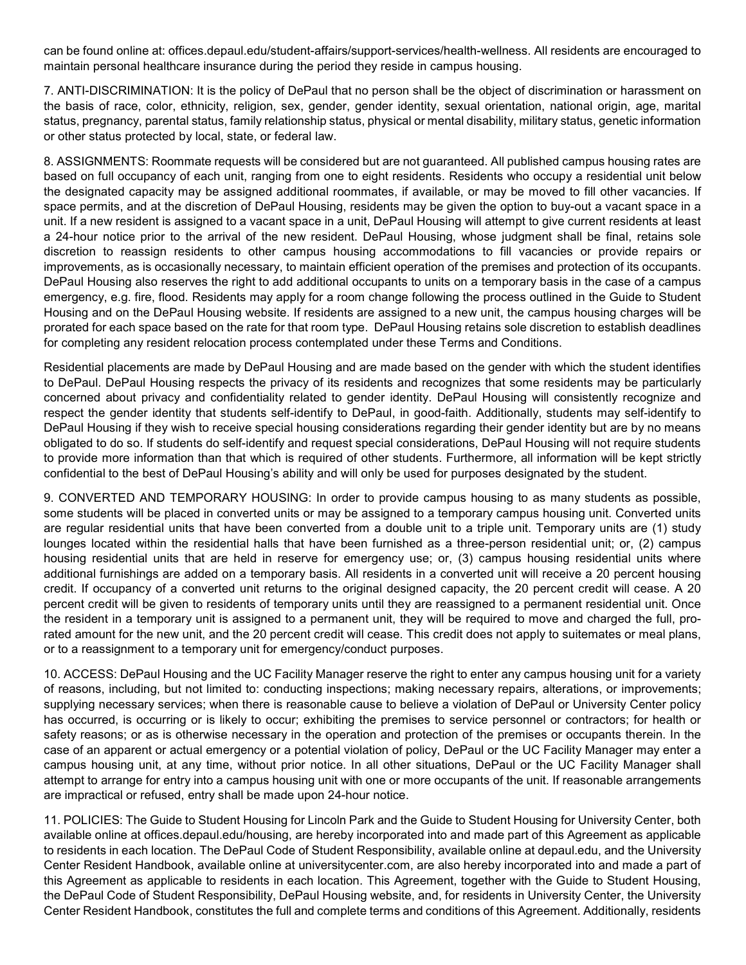can be found online at: offices.depaul.edu/student-affairs/support-services/health-wellness. All residents are encouraged to maintain personal healthcare insurance during the period they reside in campus housing.

7. ANTI-DISCRIMINATION: It is the policy of DePaul that no person shall be the object of discrimination or harassment on the basis of race, color, ethnicity, religion, sex, gender, gender identity, sexual orientation, national origin, age, marital status, pregnancy, parental status, family relationship status, physical or mental disability, military status, genetic information or other status protected by local, state, or federal law.

8. ASSIGNMENTS: Roommate requests will be considered but are not guaranteed. All published campus housing rates are based on full occupancy of each unit, ranging from one to eight residents. Residents who occupy a residential unit below the designated capacity may be assigned additional roommates, if available, or may be moved to fill other vacancies. If space permits, and at the discretion of DePaul Housing, residents may be given the option to buy-out a vacant space in a unit. If a new resident is assigned to a vacant space in a unit, DePaul Housing will attempt to give current residents at least a 24-hour notice prior to the arrival of the new resident. DePaul Housing, whose judgment shall be final, retains sole discretion to reassign residents to other campus housing accommodations to fill vacancies or provide repairs or improvements, as is occasionally necessary, to maintain efficient operation of the premises and protection of its occupants. DePaul Housing also reserves the right to add additional occupants to units on a temporary basis in the case of a campus emergency, e.g. fire, flood. Residents may apply for a room change following the process outlined in the Guide to Student Housing and on the DePaul Housing website. If residents are assigned to a new unit, the campus housing charges will be prorated for each space based on the rate for that room type. DePaul Housing retains sole discretion to establish deadlines for completing any resident relocation process contemplated under these Terms and Conditions.

Residential placements are made by DePaul Housing and are made based on the gender with which the student identifies to DePaul. DePaul Housing respects the privacy of its residents and recognizes that some residents may be particularly concerned about privacy and confidentiality related to gender identity. DePaul Housing will consistently recognize and respect the gender identity that students self-identify to DePaul, in good-faith. Additionally, students may self-identify to DePaul Housing if they wish to receive special housing considerations regarding their gender identity but are by no means obligated to do so. If students do self-identify and request special considerations, DePaul Housing will not require students to provide more information than that which is required of other students. Furthermore, all information will be kept strictly confidential to the best of DePaul Housing's ability and will only be used for purposes designated by the student.

9. CONVERTED AND TEMPORARY HOUSING: In order to provide campus housing to as many students as possible, some students will be placed in converted units or may be assigned to a temporary campus housing unit. Converted units are regular residential units that have been converted from a double unit to a triple unit. Temporary units are (1) study lounges located within the residential halls that have been furnished as a three-person residential unit; or, (2) campus housing residential units that are held in reserve for emergency use; or, (3) campus housing residential units where additional furnishings are added on a temporary basis. All residents in a converted unit will receive a 20 percent housing credit. If occupancy of a converted unit returns to the original designed capacity, the 20 percent credit will cease. A 20 percent credit will be given to residents of temporary units until they are reassigned to a permanent residential unit. Once the resident in a temporary unit is assigned to a permanent unit, they will be required to move and charged the full, prorated amount for the new unit, and the 20 percent credit will cease. This credit does not apply to suitemates or meal plans, or to a reassignment to a temporary unit for emergency/conduct purposes.

10. ACCESS: DePaul Housing and the UC Facility Manager reserve the right to enter any campus housing unit for a variety of reasons, including, but not limited to: conducting inspections; making necessary repairs, alterations, or improvements; supplying necessary services; when there is reasonable cause to believe a violation of DePaul or University Center policy has occurred, is occurring or is likely to occur; exhibiting the premises to service personnel or contractors; for health or safety reasons; or as is otherwise necessary in the operation and protection of the premises or occupants therein. In the case of an apparent or actual emergency or a potential violation of policy, DePaul or the UC Facility Manager may enter a campus housing unit, at any time, without prior notice. In all other situations, DePaul or the UC Facility Manager shall attempt to arrange for entry into a campus housing unit with one or more occupants of the unit. If reasonable arrangements are impractical or refused, entry shall be made upon 24-hour notice.

11. POLICIES: The Guide to Student Housing for Lincoln Park and the Guide to Student Housing for University Center, both available online at offices.depaul.edu/housing, are hereby incorporated into and made part of this Agreement as applicable to residents in each location. The DePaul Code of Student Responsibility, available online at depaul.edu, and the University Center Resident Handbook, available online at universitycenter.com, are also hereby incorporated into and made a part of this Agreement as applicable to residents in each location. This Agreement, together with the Guide to Student Housing, the DePaul Code of Student Responsibility, DePaul Housing website, and, for residents in University Center, the University Center Resident Handbook, constitutes the full and complete terms and conditions of this Agreement. Additionally, residents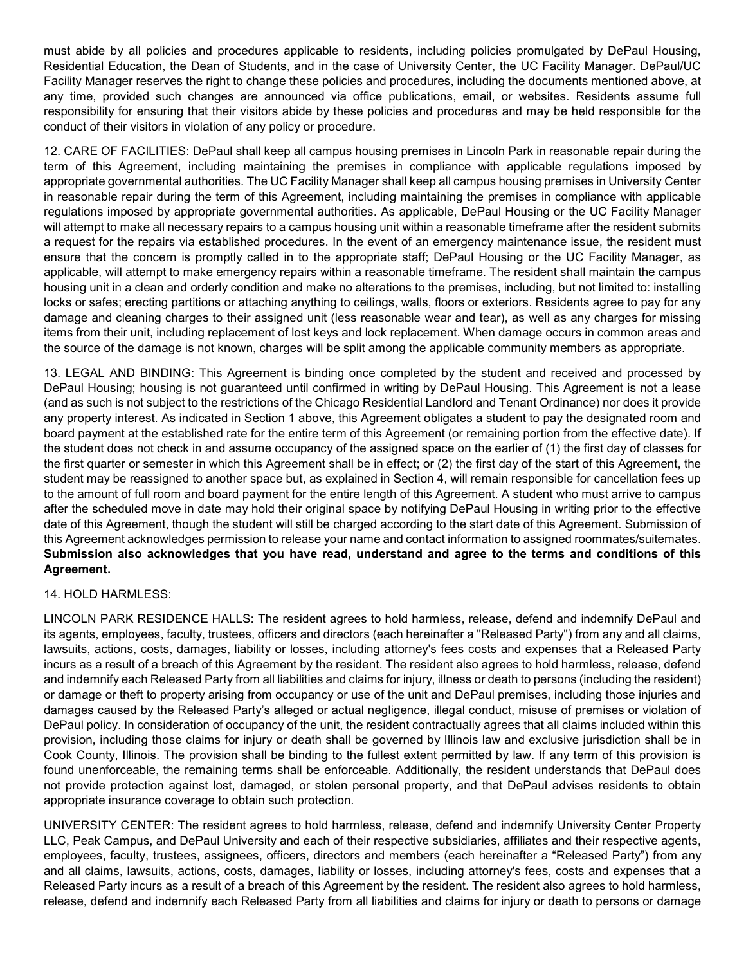must abide by all policies and procedures applicable to residents, including policies promulgated by DePaul Housing, Residential Education, the Dean of Students, and in the case of University Center, the UC Facility Manager. DePaul/UC Facility Manager reserves the right to change these policies and procedures, including the documents mentioned above, at any time, provided such changes are announced via office publications, email, or websites. Residents assume full responsibility for ensuring that their visitors abide by these policies and procedures and may be held responsible for the conduct of their visitors in violation of any policy or procedure.

12. CARE OF FACILITIES: DePaul shall keep all campus housing premises in Lincoln Park in reasonable repair during the term of this Agreement, including maintaining the premises in compliance with applicable regulations imposed by appropriate governmental authorities. The UC Facility Manager shall keep all campus housing premises in University Center in reasonable repair during the term of this Agreement, including maintaining the premises in compliance with applicable regulations imposed by appropriate governmental authorities. As applicable, DePaul Housing or the UC Facility Manager will attempt to make all necessary repairs to a campus housing unit within a reasonable timeframe after the resident submits a request for the repairs via established procedures. In the event of an emergency maintenance issue, the resident must ensure that the concern is promptly called in to the appropriate staff; DePaul Housing or the UC Facility Manager, as applicable, will attempt to make emergency repairs within a reasonable timeframe. The resident shall maintain the campus housing unit in a clean and orderly condition and make no alterations to the premises, including, but not limited to: installing locks or safes; erecting partitions or attaching anything to ceilings, walls, floors or exteriors. Residents agree to pay for any damage and cleaning charges to their assigned unit (less reasonable wear and tear), as well as any charges for missing items from their unit, including replacement of lost keys and lock replacement. When damage occurs in common areas and the source of the damage is not known, charges will be split among the applicable community members as appropriate.

13. LEGAL AND BINDING: This Agreement is binding once completed by the student and received and processed by DePaul Housing; housing is not guaranteed until confirmed in writing by DePaul Housing. This Agreement is not a lease (and as such is not subject to the restrictions of the Chicago Residential Landlord and Tenant Ordinance) nor does it provide any property interest. As indicated in Section 1 above, this Agreement obligates a student to pay the designated room and board payment at the established rate for the entire term of this Agreement (or remaining portion from the effective date). If the student does not check in and assume occupancy of the assigned space on the earlier of (1) the first day of classes for the first quarter or semester in which this Agreement shall be in effect; or (2) the first day of the start of this Agreement, the student may be reassigned to another space but, as explained in Section 4, will remain responsible for cancellation fees up to the amount of full room and board payment for the entire length of this Agreement. A student who must arrive to campus after the scheduled move in date may hold their original space by notifying DePaul Housing in writing prior to the effective date of this Agreement, though the student will still be charged according to the start date of this Agreement. Submission of this Agreement acknowledges permission to release your name and contact information to assigned roommates/suitemates. Submission also acknowledges that you have read, understand and agree to the terms and conditions of this Agreement.

#### 14. HOLD HARMLESS:

LINCOLN PARK RESIDENCE HALLS: The resident agrees to hold harmless, release, defend and indemnify DePaul and its agents, employees, faculty, trustees, officers and directors (each hereinafter a "Released Party") from any and all claims, lawsuits, actions, costs, damages, liability or losses, including attorney's fees costs and expenses that a Released Party incurs as a result of a breach of this Agreement by the resident. The resident also agrees to hold harmless, release, defend and indemnify each Released Party from all liabilities and claims for injury, illness or death to persons (including the resident) or damage or theft to property arising from occupancy or use of the unit and DePaul premises, including those injuries and damages caused by the Released Party's alleged or actual negligence, illegal conduct, misuse of premises or violation of DePaul policy. In consideration of occupancy of the unit, the resident contractually agrees that all claims included within this provision, including those claims for injury or death shall be governed by Illinois law and exclusive jurisdiction shall be in Cook County, Illinois. The provision shall be binding to the fullest extent permitted by law. If any term of this provision is found unenforceable, the remaining terms shall be enforceable. Additionally, the resident understands that DePaul does not provide protection against lost, damaged, or stolen personal property, and that DePaul advises residents to obtain appropriate insurance coverage to obtain such protection.

UNIVERSITY CENTER: The resident agrees to hold harmless, release, defend and indemnify University Center Property LLC, Peak Campus, and DePaul University and each of their respective subsidiaries, affiliates and their respective agents, employees, faculty, trustees, assignees, officers, directors and members (each hereinafter a "Released Party") from any and all claims, lawsuits, actions, costs, damages, liability or losses, including attorney's fees, costs and expenses that a Released Party incurs as a result of a breach of this Agreement by the resident. The resident also agrees to hold harmless, release, defend and indemnify each Released Party from all liabilities and claims for injury or death to persons or damage